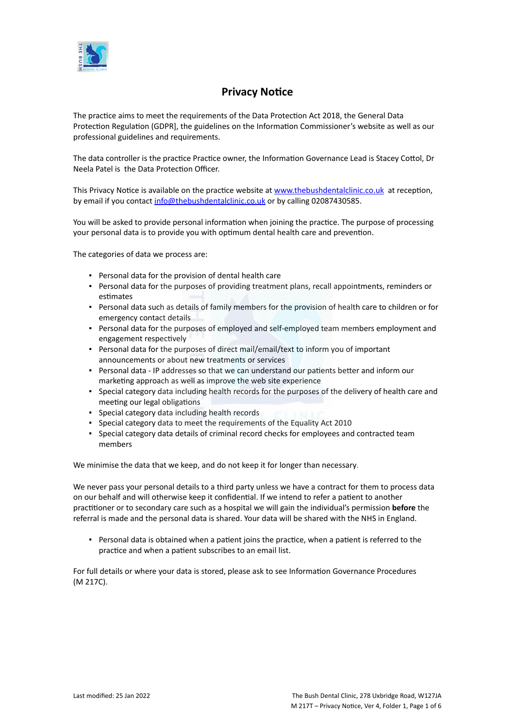

# **Privacy Notice**

The practice aims to meet the requirements of the Data Protection Act 2018, the General Data Protection Regulation (GDPR], the guidelines on the Information Commissioner's website as well as our professional guidelines and requirements.

The data controller is the practice Practice owner, the Information Governance Lead is Stacey Cottol, Dr Neela Patel is the Data Protection Officer.

This Privacy Notice is available on the practice website at [www.thebushdentalclinic.co.uk](https://icomply.agiliosoftware.com/api/export/render/4f360379-7aaf-4d5d-84ca-ef6e446f3fef/www.practice.com/privacynotice) at reception, by email if you contact [info@thebushdentalclinic.co.uk](mailto:bushdentalclinic@aol.com) or by calling 02087430585.

You will be asked to provide personal information when joining the practice. The purpose of processing your personal data is to provide you with optimum dental health care and prevention.

The categories of data we process are:

- Personal data for the provision of dental health care
- Personal data for the purposes of providing treatment plans, recall appointments, reminders or estimates
- Personal data such as details of family members for the provision of health care to children or for emergency contact details
- Personal data for the purposes of employed and self-employed team members employment and engagement respectively
- Personal data for the purposes of direct mail/email/text to inform you of important announcements or about new treatments or services
- Personal data IP addresses so that we can understand our patients better and inform our marketing approach as well as improve the web site experience
- Special category data including health records for the purposes of the delivery of health care and meeting our legal obligations
- Special category data including health records
- Special category data to meet the requirements of the Equality Act 2010
- Special category data details of criminal record checks for employees and contracted team members

We minimise the data that we keep, and do not keep it for longer than necessary.

We never pass your personal details to a third party unless we have a contract for them to process data on our behalf and will otherwise keep it confidential. If we intend to refer a patient to another practitioner or to secondary care such as a hospital we will gain the individual's permission **before** the referral is made and the personal data is shared. Your data will be shared with the NHS in England.

▪ Personal data is obtained when a patient joins the practice, when a patient is referred to the practice and when a patient subscribes to an email list.

For full details or where your data is stored, please ask to see Information Governance Procedures (M 217C).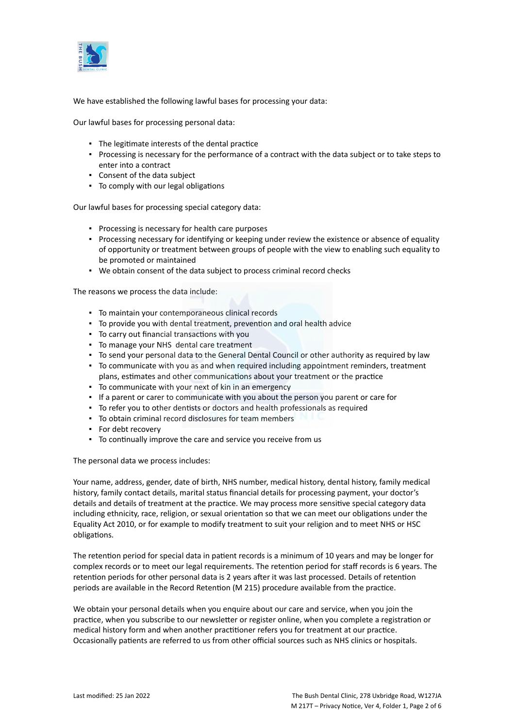

We have established the following lawful bases for processing your data:

Our lawful bases for processing personal data:

- The legitimate interests of the dental practice
- Processing is necessary for the performance of a contract with the data subject or to take steps to enter into a contract
- Consent of the data subject
- To comply with our legal obligations

Our lawful bases for processing special category data:

- Processing is necessary for health care purposes
- Processing necessary for identifying or keeping under review the existence or absence of equality of opportunity or treatment between groups of people with the view to enabling such equality to be promoted or maintained
- We obtain consent of the data subject to process criminal record checks

The reasons we process the data include:

- To maintain your contemporaneous clinical records
- To provide you with dental treatment, prevention and oral health advice
- To carry out financial transactions with you
- To manage your NHS dental care treatment
- To send your personal data to the General Dental Council or other authority as required by law
- To communicate with you as and when required including appointment reminders, treatment plans, estimates and other communications about your treatment or the practice
- To communicate with your next of kin in an emergency
- If a parent or carer to communicate with you about the person you parent or care for
- To refer you to other dentists or doctors and health professionals as required
- To obtain criminal record disclosures for team members
- For debt recovery
- To continually improve the care and service you receive from us

The personal data we process includes:

Your name, address, gender, date of birth, NHS number, medical history, dental history, family medical history, family contact details, marital status financial details for processing payment, your doctor's details and details of treatment at the practice. We may process more sensitive special category data including ethnicity, race, religion, or sexual orientation so that we can meet our obligations under the Equality Act 2010, or for example to modify treatment to suit your religion and to meet NHS or HSC obligations.

The retention period for special data in patient records is a minimum of 10 years and may be longer for complex records or to meet our legal requirements. The retention period for staff records is 6 years. The retention periods for other personal data is 2 years after it was last processed. Details of retention periods are available in the Record Retention (M 215) procedure available from the practice.

We obtain your personal details when you enquire about our care and service, when you join the practice, when you subscribe to our newsletter or register online, when you complete a registration or medical history form and when another practitioner refers you for treatment at our practice. Occasionally patients are referred to us from other official sources such as NHS clinics or hospitals.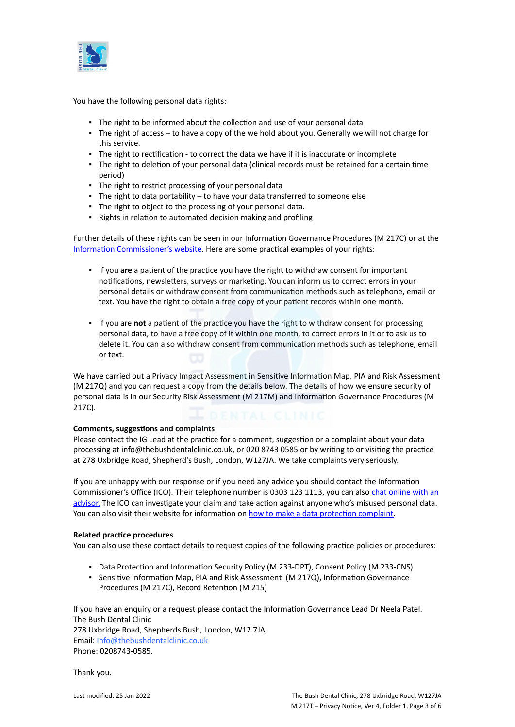

You have the following personal data rights:

- **.** The right to be informed about the collection and use of your personal data
- The right of access to have a copy of the we hold about you. Generally we will not charge for this service.
- The right to rectification to correct the data we have if it is inaccurate or incomplete
- The right to deletion of your personal data (clinical records must be retained for a certain time period)
- The right to restrict processing of your personal data
- The right to data portability to have your data transferred to someone else
- The right to object to the processing of your personal data.
- Rights in relation to automated decision making and profiling

Further details of these rights can be seen in our Information Governance Procedures (M 217C) or at the [Information Commissioner's website](https://ico.org.uk/for-organisations/guide-to-the-general-data-protection-regulation-gdpr/individual-rights/). Here are some practical examples of your rights:

- If you **are** a patient of the practice you have the right to withdraw consent for important notifications, newsletters, surveys or marketing. You can inform us to correct errors in your personal details or withdraw consent from communication methods such as telephone, email or text. You have the right to obtain a free copy of your patient records within one month.
- If you are **not** a patient of the practice you have the right to withdraw consent for processing personal data, to have a free copy of it within one month, to correct errors in it or to ask us to delete it. You can also withdraw consent from communication methods such as telephone, email or text.

We have carried out a Privacy Impact Assessment in Sensitive Information Map, PIA and Risk Assessment (M 217Q) and you can request a copy from the details below. The details of how we ensure security of personal data is in our Security Risk Assessment (M 217M) and Information Governance Procedures (M 217C).

# **Comments, suggestions and complaints**

Please contact the IG Lead at the practice for a comment, suggestion or a complaint about your data processing at info@thebushdentalclinic.co.uk, or 020 8743 0585 or by writing to or visiting the practice at 278 Uxbridge Road, Shepherd's Bush, London, W127JA. We take complaints very seriously.

If you are unhappy with our response or if you need any advice you should contact the Information Commissioner's Office (ICO). Their telephone number is 0303 123 1113, you can also [chat online with an](https://ico.org.uk/global/contact-us/live-chat/) [advisor.](https://ico.org.uk/global/contact-us/live-chat/) The ICO can investigate your claim and take action against anyone who's misused personal data. You can also visit their website for information on [how to make a data protection complaint](http://www.ico.org.uk/complaints).

# **Related practice procedures**

You can also use these contact details to request copies of the following practice policies or procedures:

- Data Protection and Information Security Policy (M 233-DPT), Consent Policy (M 233-CNS)
- Sensitive Information Map, PIA and Risk Assessment (M 217Q), Information Governance Procedures (M 217C), Record Retention (M 215)

If you have an enquiry or a request please contact the Information Governance Lead Dr Neela Patel. The Bush Dental Clinic

278 Uxbridge Road, Shepherds Bush, London, W12 7JA, Email: Info@thebushdentalclinic.co.uk Phone: 0208743-0585.

Thank you.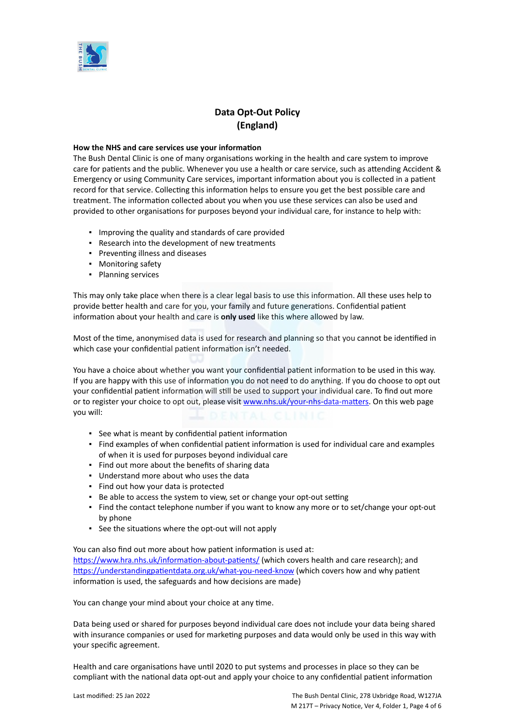

# **Data Opt-Out Policy (England)**

#### **How the NHS and care services use your information**

The Bush Dental Clinic is one of many organisations working in the health and care system to improve care for patients and the public. Whenever you use a health or care service, such as attending Accident & Emergency or using Community Care services, important information about you is collected in a patient record for that service. Collecting this information helps to ensure you get the best possible care and treatment. The information collected about you when you use these services can also be used and provided to other organisations for purposes beyond your individual care, for instance to help with:

- Improving the quality and standards of care provided
- Research into the development of new treatments
- Preventing illness and diseases
- Monitoring safety
- Planning services

This may only take place when there is a clear legal basis to use this information. All these uses help to provide better health and care for you, your family and future generations. Confidential patient information about your health and care is **only used** like this where allowed by law.

Most of the time, anonymised data is used for research and planning so that you cannot be identified in which case your confidential patient information isn't needed.

You have a choice about whether you want your confidential patient information to be used in this way. If you are happy with this use of information you do not need to do anything. If you do choose to opt out your confidential patient information will still be used to support your individual care. To find out more or to register your choice to opt out, please visit [www.nhs.uk/your-nhs-data-matters](http://www.nhs.uk/your-nhs-data-matters). On this web page you will:

- See what is meant by confidential patient information
- Find examples of when confidential patient information is used for individual care and examples of when it is used for purposes beyond individual care
- Find out more about the benefits of sharing data
- Understand more about who uses the data
- Find out how your data is protected
- Be able to access the system to view, set or change your opt-out setting
- Find the contact telephone number if you want to know any more or to set/change your opt-out by phone
- See the situations where the opt-out will not apply

You can also find out more about how patient information is used at:

[https://www.hra.nhs.uk/information-about-patients/](https://www.hra.nhs.uk/information-about-patients/%20) (which covers health and care research); and <https://understandingpatientdata.org.uk/what-you-need-know> (which covers how and why patient information is used, the safeguards and how decisions are made)

You can change your mind about your choice at any time.

Data being used or shared for purposes beyond individual care does not include your data being shared with insurance companies or used for marketing purposes and data would only be used in this way with your specific agreement.

Health and care organisations have until 2020 to put systems and processes in place so they can be compliant with the national data opt-out and apply your choice to any confidential patient information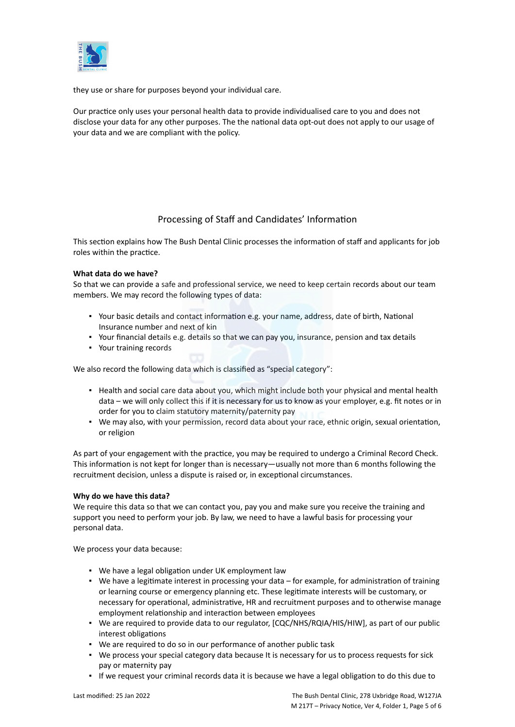

they use or share for purposes beyond your individual care.

Our practice only uses your personal health data to provide individualised care to you and does not disclose your data for any other purposes. The the national data opt-out does not apply to our usage of your data and we are compliant with the policy.

# Processing of Staff and Candidates' Information

This section explains how The Bush Dental Clinic processes the information of staff and applicants for job roles within the practice.

# **What data do we have?**

So that we can provide a safe and professional service, we need to keep certain records about our team members. We may record the following types of data:

- Your basic details and contact information e.g. your name, address, date of birth, National Insurance number and next of kin
- Your financial details e.g. details so that we can pay you, insurance, pension and tax details
- Your training records

We also record the following data which is classified as "special category":

- Health and social care data about you, which might include both your physical and mental health data – we will only collect this if it is necessary for us to know as your employer, e.g. fit notes or in order for you to claim statutory maternity/paternity pay
- We may also, with your permission, record data about your race, ethnic origin, sexual orientation, or religion

As part of your engagement with the practice, you may be required to undergo a Criminal Record Check. This information is not kept for longer than is necessary—usually not more than 6 months following the recruitment decision, unless a dispute is raised or, in exceptional circumstances.

# **Why do we have this data?**

We require this data so that we can contact you, pay you and make sure you receive the training and support you need to perform your job. By law, we need to have a lawful basis for processing your personal data.

We process your data because:

- We have a legal obligation under UK employment law
- We have a legitimate interest in processing your data for example, for administration of training or learning course or emergency planning etc. These legitimate interests will be customary, or necessary for operational, administrative, HR and recruitment purposes and to otherwise manage employment relationship and interaction between employees
- We are required to provide data to our regulator, [CQC/NHS/RQIA/HIS/HIW], as part of our public interest obligations
- We are required to do so in our performance of another public task
- We process your special category data because It is necessary for us to process requests for sick pay or maternity pay
- If we request your criminal records data it is because we have a legal obligation to do this due to